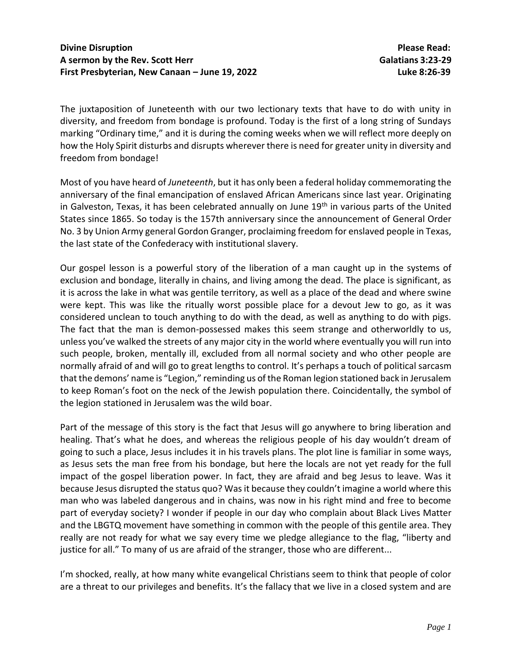The juxtaposition of Juneteenth with our two lectionary texts that have to do with unity in diversity, and freedom from bondage is profound. Today is the first of a long string of Sundays marking "Ordinary time," and it is during the coming weeks when we will reflect more deeply on how the Holy Spirit disturbs and disrupts wherever there is need for greater unity in diversity and freedom from bondage!

Most of you have heard of *Juneteenth*, but it has only been a federal holiday commemorating the anniversary of the final emancipation of enslaved African Americans since last year. Originating in Galveston, Texas, it has been celebrated annually on June 19<sup>th</sup> in various parts of the United States since 1865. So today is the 157th anniversary since the announcement of General Order No. 3 by Union Army general Gordon Granger, proclaiming freedom for enslaved people in Texas, the last state of the Confederacy with institutional slavery.

Our gospel lesson is a powerful story of the liberation of a man caught up in the systems of exclusion and bondage, literally in chains, and living among the dead. The place is significant, as it is across the lake in what was gentile territory, as well as a place of the dead and where swine were kept. This was like the ritually worst possible place for a devout Jew to go, as it was considered unclean to touch anything to do with the dead, as well as anything to do with pigs. The fact that the man is demon-possessed makes this seem strange and otherworldly to us, unless you've walked the streets of any major city in the world where eventually you will run into such people, broken, mentally ill, excluded from all normal society and who other people are normally afraid of and will go to great lengths to control. It's perhaps a touch of political sarcasm that the demons' name is "Legion," reminding us of the Roman legion stationed back in Jerusalem to keep Roman's foot on the neck of the Jewish population there. Coincidentally, the symbol of the legion stationed in Jerusalem was the wild boar.

Part of the message of this story is the fact that Jesus will go anywhere to bring liberation and healing. That's what he does, and whereas the religious people of his day wouldn't dream of going to such a place, Jesus includes it in his travels plans. The plot line is familiar in some ways, as Jesus sets the man free from his bondage, but here the locals are not yet ready for the full impact of the gospel liberation power. In fact, they are afraid and beg Jesus to leave. Was it because Jesus disrupted the status quo? Was it because they couldn't imagine a world where this man who was labeled dangerous and in chains, was now in his right mind and free to become part of everyday society? I wonder if people in our day who complain about Black Lives Matter and the LBGTQ movement have something in common with the people of this gentile area. They really are not ready for what we say every time we pledge allegiance to the flag, "liberty and justice for all." To many of us are afraid of the stranger, those who are different...

I'm shocked, really, at how many white evangelical Christians seem to think that people of color are a threat to our privileges and benefits. It's the fallacy that we live in a closed system and are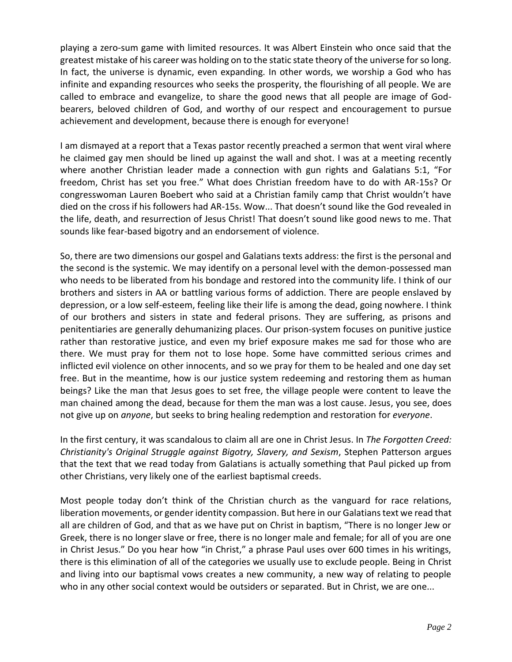playing a zero-sum game with limited resources. It was Albert Einstein who once said that the greatest mistake of his career was holding on to the static state theory of the universe for so long. In fact, the universe is dynamic, even expanding. In other words, we worship a God who has infinite and expanding resources who seeks the prosperity, the flourishing of all people. We are called to embrace and evangelize, to share the good news that all people are image of Godbearers, beloved children of God, and worthy of our respect and encouragement to pursue achievement and development, because there is enough for everyone!

I am dismayed at a report that a Texas pastor recently preached a sermon that went viral where he claimed gay men should be lined up against the wall and shot. I was at a meeting recently where another Christian leader made a connection with gun rights and Galatians 5:1, "For freedom, Christ has set you free." What does Christian freedom have to do with AR-15s? Or congresswoman Lauren Boebert who said at a Christian family camp that Christ wouldn't have died on the cross if his followers had AR-15s. Wow... That doesn't sound like the God revealed in the life, death, and resurrection of Jesus Christ! That doesn't sound like good news to me. That sounds like fear-based bigotry and an endorsement of violence.

So, there are two dimensions our gospel and Galatians texts address: the first is the personal and the second is the systemic. We may identify on a personal level with the demon-possessed man who needs to be liberated from his bondage and restored into the community life. I think of our brothers and sisters in AA or battling various forms of addiction. There are people enslaved by depression, or a low self-esteem, feeling like their life is among the dead, going nowhere. I think of our brothers and sisters in state and federal prisons. They are suffering, as prisons and penitentiaries are generally dehumanizing places. Our prison-system focuses on punitive justice rather than restorative justice, and even my brief exposure makes me sad for those who are there. We must pray for them not to lose hope. Some have committed serious crimes and inflicted evil violence on other innocents, and so we pray for them to be healed and one day set free. But in the meantime, how is our justice system redeeming and restoring them as human beings? Like the man that Jesus goes to set free, the village people were content to leave the man chained among the dead, because for them the man was a lost cause. Jesus, you see, does not give up on *anyone*, but seeks to bring healing redemption and restoration for *everyone*.

In the first century, it was scandalous to claim all are one in Christ Jesus. In *The Forgotten Creed: Christianity's Original Struggle against Bigotry, Slavery, and Sexism*, Stephen Patterson argues that the text that we read today from Galatians is actually something that Paul picked up from other Christians, very likely one of the earliest baptismal creeds.

Most people today don't think of the Christian church as the vanguard for race relations, liberation movements, or gender identity compassion. But here in our Galatians text we read that all are children of God, and that as we have put on Christ in baptism, "There is no longer Jew or Greek, there is no longer slave or free, there is no longer male and female; for all of you are one in Christ Jesus." Do you hear how "in Christ," a phrase Paul uses over 600 times in his writings, there is this elimination of all of the categories we usually use to exclude people. Being in Christ and living into our baptismal vows creates a new community, a new way of relating to people who in any other social context would be outsiders or separated. But in Christ, we are one...